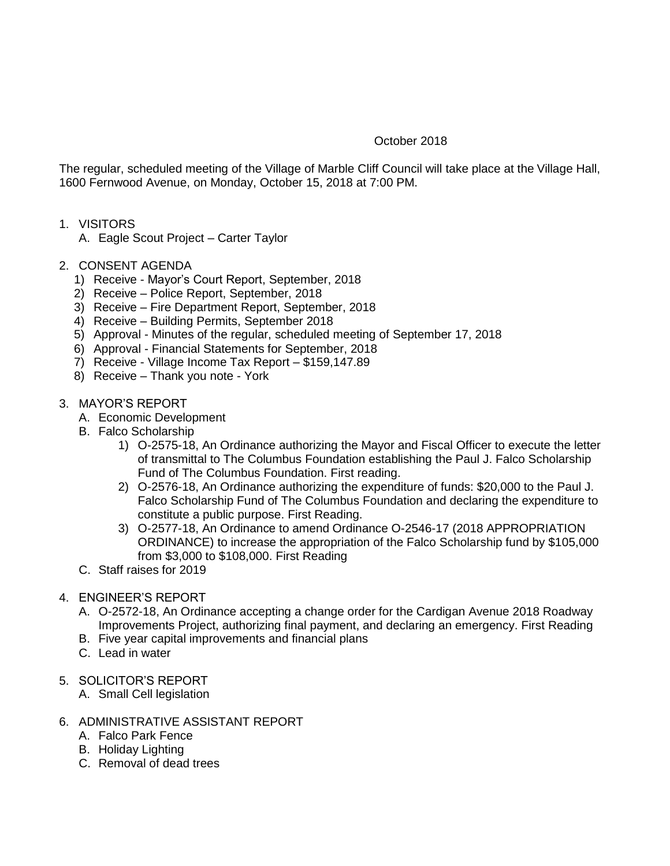## October 2018

The regular, scheduled meeting of the Village of Marble Cliff Council will take place at the Village Hall, 1600 Fernwood Avenue, on Monday, October 15, 2018 at 7:00 PM.

- 1. VISITORS
	- A. Eagle Scout Project Carter Taylor
- 2. CONSENT AGENDA
	- 1) Receive Mayor's Court Report, September, 2018
	- 2) Receive Police Report, September, 2018
	- 3) Receive Fire Department Report, September, 2018
	- 4) Receive Building Permits, September 2018
	- 5) Approval Minutes of the regular, scheduled meeting of September 17, 2018
	- 6) Approval Financial Statements for September, 2018
	- 7) Receive Village Income Tax Report \$159,147.89
	- 8) Receive Thank you note York
- 3. MAYOR'S REPORT
	- A. Economic Development
	- B. Falco Scholarship
		- 1) O-2575-18, An Ordinance authorizing the Mayor and Fiscal Officer to execute the letter of transmittal to The Columbus Foundation establishing the Paul J. Falco Scholarship Fund of The Columbus Foundation. First reading.
		- 2) O-2576-18, An Ordinance authorizing the expenditure of funds: \$20,000 to the Paul J. Falco Scholarship Fund of The Columbus Foundation and declaring the expenditure to constitute a public purpose. First Reading.
		- 3) O-2577-18, An Ordinance to amend Ordinance O-2546-17 (2018 APPROPRIATION ORDINANCE) to increase the appropriation of the Falco Scholarship fund by \$105,000 from \$3,000 to \$108,000. First Reading
	- C. Staff raises for 2019
- 4. ENGINEER'S REPORT
	- A. O-2572-18, An Ordinance accepting a change order for the Cardigan Avenue 2018 Roadway Improvements Project, authorizing final payment, and declaring an emergency. First Reading
	- B. Five year capital improvements and financial plans
	- C. Lead in water
- 5. SOLICITOR'S REPORT
	- A. Small Cell legislation
- 6. ADMINISTRATIVE ASSISTANT REPORT
	- A. Falco Park Fence
	- B. Holiday Lighting
	- C. Removal of dead trees